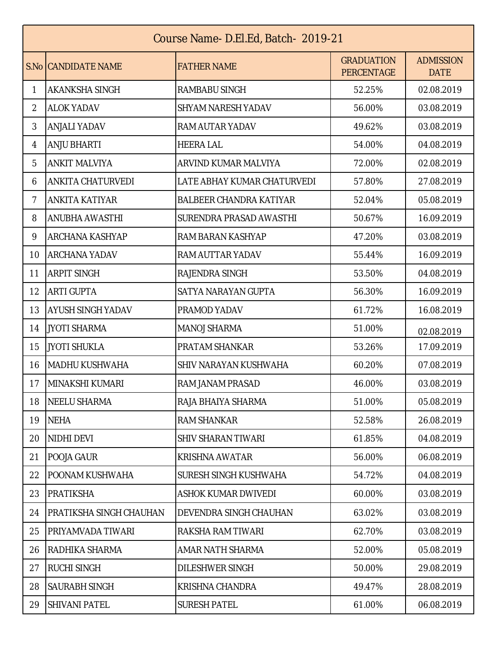| Course Name-D.El.Ed, Batch-2019-21 |                                |                                |                                        |                                 |  |  |  |
|------------------------------------|--------------------------------|--------------------------------|----------------------------------------|---------------------------------|--|--|--|
|                                    | S.No CANDIDATE NAME            | <b>FATHER NAME</b>             | <b>GRADUATION</b><br><b>PERCENTAGE</b> | <b>ADMISSION</b><br><b>DATE</b> |  |  |  |
| 1                                  | <b>AKANKSHA SINGH</b>          | RAMBABU SINGH                  | 52.25%                                 | 02.08.2019                      |  |  |  |
| $\overline{2}$                     | <b>ALOK YADAV</b>              | <b>SHYAM NARESH YADAV</b>      | 56.00%                                 | 03.08.2019                      |  |  |  |
| 3                                  | <b>ANJALI YADAV</b>            | RAM AUTAR YADAV                | 49.62%                                 | 03.08.2019                      |  |  |  |
| 4                                  | <b>ANJU BHARTI</b>             | <b>HEERA LAL</b>               | 54.00%                                 | 04.08.2019                      |  |  |  |
| 5                                  | <b>ANKIT MALVIYA</b>           | ARVIND KUMAR MALVIYA           | 72.00%                                 | 02.08.2019                      |  |  |  |
| 6                                  | ANKITA CHATURVEDI              | LATE ABHAY KUMAR CHATURVEDI    | 57.80%                                 | 27.08.2019                      |  |  |  |
| 7                                  | <b>ANKITA KATIYAR</b>          | <b>BALBEER CHANDRA KATIYAR</b> | 52.04%                                 | 05.08.2019                      |  |  |  |
| 8                                  | <b>ANUBHA AWASTHI</b>          | SURENDRA PRASAD AWASTHI        | 50.67%                                 | 16.09.2019                      |  |  |  |
| 9                                  | <b>ARCHANA KASHYAP</b>         | RAM BARAN KASHYAP              | 47.20%                                 | 03.08.2019                      |  |  |  |
| 10                                 | <b>ARCHANA YADAV</b>           | RAM AUTTAR YADAV               | 55.44%                                 | 16.09.2019                      |  |  |  |
| 11                                 | <b>ARPIT SINGH</b>             | RAJENDRA SINGH                 | 53.50%                                 | 04.08.2019                      |  |  |  |
| 12                                 | <b>ARTI GUPTA</b>              | SATYA NARAYAN GUPTA            | 56.30%                                 | 16.09.2019                      |  |  |  |
| 13                                 | <b>AYUSH SINGH YADAV</b>       | PRAMOD YADAV                   | 61.72%                                 | 16.08.2019                      |  |  |  |
| 14                                 | JYOTI SHARMA                   | <b>MANOJ SHARMA</b>            | 51.00%                                 | 02.08.2019                      |  |  |  |
| 15                                 | JYOTI SHUKLA                   | PRATAM SHANKAR                 | 53.26%                                 | 17.09.2019                      |  |  |  |
| 16                                 | MADHU KUSHWAHA                 | SHIV NARAYAN KUSHWAHA          | 60.20%                                 | 07.08.2019                      |  |  |  |
| 17                                 | MINAKSHI KUMARI                | RAM JANAM PRASAD               | 46.00%                                 | 03.08.2019                      |  |  |  |
| 18                                 | NEELU SHARMA                   | RAJA BHAIYA SHARMA             | 51.00%                                 | 05.08.2019                      |  |  |  |
| 19                                 | <b>NEHA</b>                    | RAM SHANKAR                    | 52.58%                                 | 26.08.2019                      |  |  |  |
| 20                                 | NIDHI DEVI                     | <b>SHIV SHARAN TIWARI</b>      | 61.85%                                 | 04.08.2019                      |  |  |  |
| 21                                 | POOJA GAUR                     | <b>KRISHNA AWATAR</b>          | 56.00%                                 | 06.08.2019                      |  |  |  |
| 22                                 | POONAM KUSHWAHA                | SURESH SINGH KUSHWAHA          | 54.72%                                 | 04.08.2019                      |  |  |  |
| 23                                 | <b>PRATIKSHA</b>               | ASHOK KUMAR DWIVEDI            | 60.00%                                 | 03.08.2019                      |  |  |  |
| 24                                 | <b>PRATIKSHA SINGH CHAUHAN</b> | DEVENDRA SINGH CHAUHAN         | 63.02%                                 | 03.08.2019                      |  |  |  |
| 25                                 | PRIYAMVADA TIWARI              | RAKSHA RAM TIWARI              | 62.70%                                 | 03.08.2019                      |  |  |  |
| 26                                 | RADHIKA SHARMA                 | AMAR NATH SHARMA               | 52.00%                                 | 05.08.2019                      |  |  |  |
| 27                                 | <b>RUCHI SINGH</b>             | <b>DILESHWER SINGH</b>         | 50.00%                                 | 29.08.2019                      |  |  |  |
| 28                                 | <b>SAURABH SINGH</b>           | KRISHNA CHANDRA                | 49.47%                                 | 28.08.2019                      |  |  |  |
| 29                                 | <b>SHIVANI PATEL</b>           | <b>SURESH PATEL</b>            | 61.00%                                 | 06.08.2019                      |  |  |  |